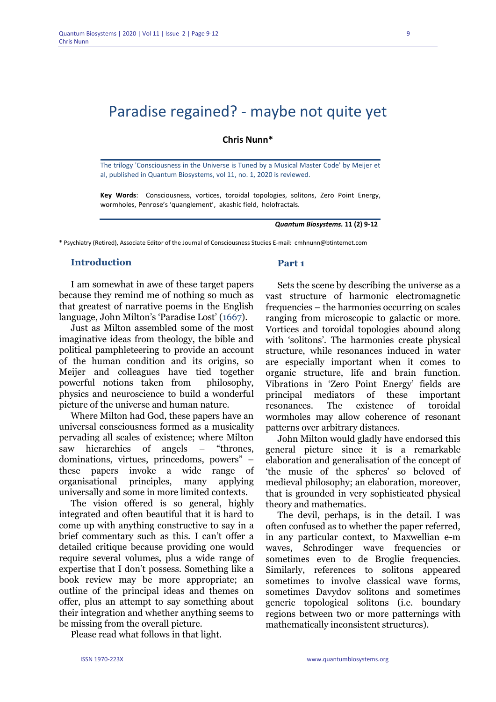## **Chris Nunn\***

The trilogy 'Consciousness in the Universe is Tuned by a Musical Master Code' by Meijer et al, published in Quantum Biosystems, vol 11, no. 1, 2020 is reviewed.

**Key Words**: Consciousness, vortices, toroidal topologies, solitons, Zero Point Energy, wormholes, Penrose's 'quanglement', akashic field, holofractals.

*Quantum Biosystems.* **11 (2) 9-12**

\* Psychiatry (Retired), Associate Editor of the Journal of Consciousness Studies E-mail: cmhnunn@btinternet.com

### **Introduction**

I am somewhat in awe of these target papers because they remind me of nothing so much as that greatest of narrative poems in the English language, John Milton's 'Paradise Lost' (1667).

Just as Milton assembled some of the most imaginative ideas from theology, the bible and political pamphleteering to provide an account of the human condition and its origins, so Meijer and colleagues have tied together powerful notions taken from philosophy, physics and neuroscience to build a wonderful picture of the universe and human nature.

Where Milton had God, these papers have an universal consciousness formed as a musicality pervading all scales of existence; where Milton saw hierarchies of angels – "thrones, dominations, virtues, princedoms, powers" – these papers invoke a wide range of organisational principles, many applying universally and some in more limited contexts.

The vision offered is so general, highly integrated and often beautiful that it is hard to come up with anything constructive to say in a brief commentary such as this. I can't offer a detailed critique because providing one would require several volumes, plus a wide range of expertise that I don't possess. Something like a book review may be more appropriate; an outline of the principal ideas and themes on offer, plus an attempt to say something about their integration and whether anything seems to be missing from the overall picture.

Please read what follows in that light.

#### **Part 1**

Sets the scene by describing the universe as a vast structure of harmonic electromagnetic frequencies – the harmonies occurring on scales ranging from microscopic to galactic or more. Vortices and toroidal topologies abound along with 'solitons'. The harmonies create physical structure, while resonances induced in water are especially important when it comes to organic structure, life and brain function. Vibrations in 'Zero Point Energy' fields are principal mediators of these important resonances. The existence of toroidal wormholes may allow coherence of resonant patterns over arbitrary distances.

John Milton would gladly have endorsed this general picture since it is a remarkable elaboration and generalisation of the concept of 'the music of the spheres' so beloved of medieval philosophy; an elaboration, moreover, that is grounded in very sophisticated physical theory and mathematics.

The devil, perhaps, is in the detail. I was often confused as to whether the paper referred, in any particular context, to Maxwellian e-m waves, Schrodinger wave frequencies or sometimes even to de Broglie frequencies. Similarly, references to solitons appeared sometimes to involve classical wave forms, sometimes Davydov solitons and sometimes generic topological solitons (i.e. boundary regions between two or more patternings with mathematically inconsistent structures).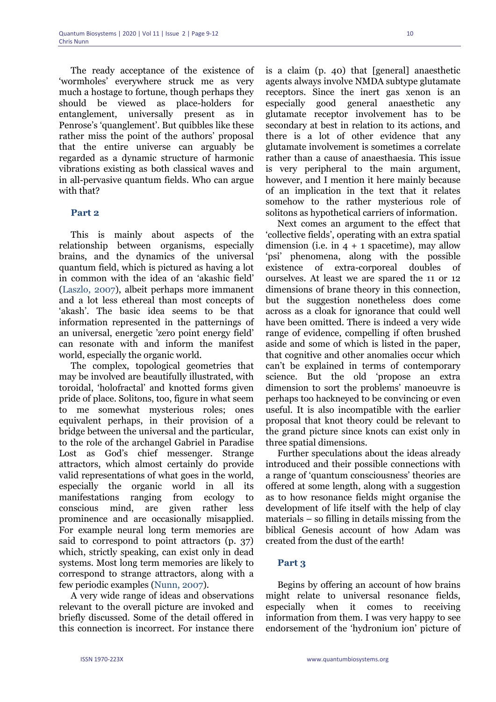The ready acceptance of the existence of 'wormholes' everywhere struck me as very much a hostage to fortune, though perhaps they should be viewed as place-holders for entanglement, universally present as in Penrose's 'quanglement'. But quibbles like these rather miss the point of the authors' proposal that the entire universe can arguably be regarded as a dynamic structure of harmonic vibrations existing as both classical waves and in all-pervasive quantum fields. Who can argue with that?

### **Part 2**

This is mainly about aspects of the relationship between organisms, especially brains, and the dynamics of the universal quantum field, which is pictured as having a lot in common with the idea of an 'akashic field' (Laszlo, 2007), albeit perhaps more immanent and a lot less ethereal than most concepts of 'akash'. The basic idea seems to be that information represented in the patternings of an universal, energetic 'zero point energy field' can resonate with and inform the manifest world, especially the organic world.

The complex, topological geometries that may be involved are beautifully illustrated, with toroidal, 'holofractal' and knotted forms given pride of place. Solitons, too, figure in what seem to me somewhat mysterious roles; ones equivalent perhaps, in their provision of a bridge between the universal and the particular, to the role of the archangel Gabriel in Paradise Lost as God's chief messenger. Strange attractors, which almost certainly do provide valid representations of what goes in the world, especially the organic world in all its manifestations ranging from ecology to conscious mind, are given rather less prominence and are occasionally misapplied. For example neural long term memories are said to correspond to point attractors (p. 37) which, strictly speaking, can exist only in dead systems. Most long term memories are likely to correspond to strange attractors, along with a few periodic examples (Nunn, 2007).

A very wide range of ideas and observations relevant to the overall picture are invoked and briefly discussed. Some of the detail offered in this connection is incorrect. For instance there is a claim (p. 40) that [general] anaesthetic agents always involve NMDA subtype glutamate receptors. Since the inert gas xenon is an especially good general anaesthetic any glutamate receptor involvement has to be secondary at best in relation to its actions, and there is a lot of other evidence that any glutamate involvement is sometimes a correlate rather than a cause of anaesthaesia. This issue is very peripheral to the main argument, however, and I mention it here mainly because of an implication in the text that it relates somehow to the rather mysterious role of solitons as hypothetical carriers of information.

Next comes an argument to the effect that 'collective fields', operating with an extra spatial dimension (i.e. in  $4 + 1$  spacetime), may allow 'psi' phenomena, along with the possible existence of extra-corporeal doubles of ourselves. At least we are spared the 11 or 12 dimensions of brane theory in this connection, but the suggestion nonetheless does come across as a cloak for ignorance that could well have been omitted. There is indeed a very wide range of evidence, compelling if often brushed aside and some of which is listed in the paper, that cognitive and other anomalies occur which can't be explained in terms of contemporary science. But the old 'propose an extra dimension to sort the problems' manoeuvre is perhaps too hackneyed to be convincing or even useful. It is also incompatible with the earlier proposal that knot theory could be relevant to the grand picture since knots can exist only in three spatial dimensions.

Further speculations about the ideas already introduced and their possible connections with a range of 'quantum consciousness' theories are offered at some length, along with a suggestion as to how resonance fields might organise the development of life itself with the help of clay materials – so filling in details missing from the biblical Genesis account of how Adam was created from the dust of the earth!

### **Part 3**

Begins by offering an account of how brains might relate to universal resonance fields, especially when it comes to receiving information from them. I was very happy to see endorsement of the 'hydronium ion' picture of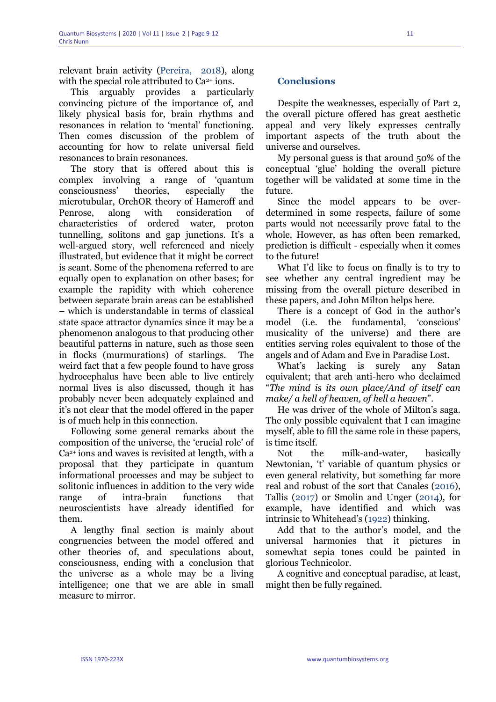relevant brain activity (Pereira, 2018), along with the special role attributed to  $Ca<sup>2+</sup>$  ions.

This arguably provides a particularly convincing picture of the importance of, and likely physical basis for, brain rhythms and resonances in relation to 'mental' functioning. Then comes discussion of the problem of accounting for how to relate universal field resonances to brain resonances.

The story that is offered about this is complex involving a range of 'quantum consciousness' theories, especially the microtubular, OrchOR theory of Hameroff and Penrose, along with consideration of characteristics of ordered water, proton tunnelling, solitons and gap junctions. It's a well-argued story, well referenced and nicely illustrated, but evidence that it might be correct is scant. Some of the phenomena referred to are equally open to explanation on other bases; for example the rapidity with which coherence between separate brain areas can be established – which is understandable in terms of classical state space attractor dynamics since it may be a phenomenon analogous to that producing other beautiful patterns in nature, such as those seen in flocks (murmurations) of starlings. The weird fact that a few people found to have gross hydrocephalus have been able to live entirely normal lives is also discussed, though it has probably never been adequately explained and it's not clear that the model offered in the paper is of much help in this connection.

Following some general remarks about the composition of the universe, the 'crucial role' of Ca2+ ions and waves is revisited at length, with a proposal that they participate in quantum informational processes and may be subject to solitonic influences in addition to the very wide range of intra-brain functions that neuroscientists have already identified for them.

A lengthy final section is mainly about congruencies between the model offered and other theories of, and speculations about, consciousness, ending with a conclusion that the universe as a whole may be a living intelligence; one that we are able in small measure to mirror.

# **Conclusions**

Despite the weaknesses, especially of Part 2, the overall picture offered has great aesthetic appeal and very likely expresses centrally important aspects of the truth about the universe and ourselves.

My personal guess is that around 50% of the conceptual 'glue' holding the overall picture together will be validated at some time in the future.

Since the model appears to be overdetermined in some respects, failure of some parts would not necessarily prove fatal to the whole. However, as has often been remarked, prediction is difficult - especially when it comes to the future!

What I'd like to focus on finally is to try to see whether any central ingredient may be missing from the overall picture described in these papers, and John Milton helps here.

There is a concept of God in the author's model (i.e. the fundamental, 'conscious' musicality of the universe) and there are entities serving roles equivalent to those of the angels and of Adam and Eve in Paradise Lost.

What's lacking is surely any Satan equivalent; that arch anti-hero who declaimed "*The mind is its own place/And of itself can make/ a hell of heaven, of hell a heaven*".

He was driver of the whole of Milton's saga. The only possible equivalent that I can imagine myself, able to fill the same role in these papers, is time itself.

Not the milk-and-water, basically Newtonian, 't' variable of quantum physics or even general relativity, but something far more real and robust of the sort that Canales (2016), Tallis (2017) or Smolin and Unger (2014), for example, have identified and which was intrinsic to Whitehead's (1922) thinking.

Add that to the author's model, and the universal harmonies that it pictures in somewhat sepia tones could be painted in glorious Technicolor.

A cognitive and conceptual paradise, at least, might then be fully regained.